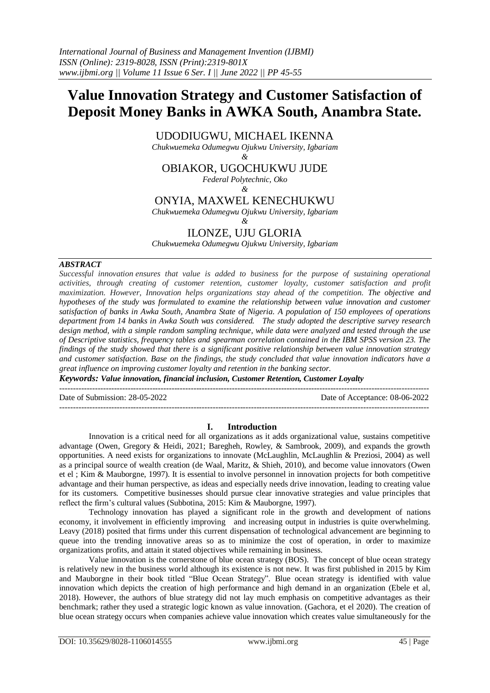# **Value Innovation Strategy and Customer Satisfaction of Deposit Money Banks in AWKA South, Anambra State.**

UDODIUGWU, MICHAEL IKENNA

*Chukwuemeka Odumegwu Ojukwu University, Igbariam &*

OBIAKOR, UGOCHUKWU JUDE

*Federal Polytechnic, Oko*

*&* ONYIA, MAXWEL KENECHUKWU

*Chukwuemeka Odumegwu Ojukwu University, Igbariam*

*&*

## ILONZE, UJU GLORIA

*Chukwuemeka Odumegwu Ojukwu University, Igbariam*

### *ABSTRACT*

*Successful innovation ensures that value is added to business for the purpose of sustaining operational activities, through creating of customer retention, customer loyalty, customer satisfaction and profit maximization. However, Innovation helps organizations stay ahead of the competition. The objective and hypotheses of the study was formulated to examine the relationship between value innovation and customer satisfaction of banks in Awka South, Anambra State of Nigeria. A population of 150 employees of operations department from 14 banks in Awka South was considered. The study adopted the descriptive survey research design method, with a simple random sampling technique, while data were analyzed and tested through the use of Descriptive statistics, frequency tables and spearman correlation contained in the IBM SPSS version 23. The findings of the study showed that there is a significant positive relationship between value innovation strategy and customer satisfaction. Base on the findings, the study concluded that value innovation indicators have a great influence on improving customer loyalty and retention in the banking sector.* 

*Keywords: Value innovation, financial inclusion, Customer Retention, Customer Loyalty*

--------------------------------------------------------------------------------------------------------------------------------------- Date of Submission: 28-05-2022 Date of Acceptance: 08-06-2022

---------------------------------------------------------------------------------------------------------------------------------------

### **I. Introduction**

Innovation is a critical need for all organizations as it adds organizational value, sustains competitive advantage (Owen, Gregory & Heidi, 2021; Baregheh, Rowley, & Sambrook, 2009), and expands the growth opportunities. A need exists for organizations to innovate (McLaughlin, McLaughlin & Preziosi, 2004) as well as a principal source of wealth creation (de Waal, Maritz, & Shieh, 2010), and become value innovators (Owen et el ; Kim & Mauborgne, 1997). It is essential to involve personnel in innovation projects for both competitive advantage and their human perspective, as ideas and especially needs drive innovation, leading to creating value for its customers. Competitive businesses should pursue clear innovative strategies and value principles that reflect the firm's cultural values (Subbotina, 2015: Kim & Mauborgne, 1997).

Technology innovation has played a significant role in the growth and development of nations economy, it involvement in efficiently improving and increasing output in industries is quite overwhelming. Leavy (2018) posited that firms under this current dispensation of technological advancement are beginning to queue into the trending innovative areas so as to minimize the cost of operation, in order to maximize organizations profits, and attain it stated objectives while remaining in business.

Value innovation is the cornerstone of blue ocean strategy (BOS). The concept of blue ocean strategy is relatively new in the business world although its existence is not new. It was first published in 2015 by Kim and Mauborgne in their book titled "Blue Ocean Strategy". Blue ocean strategy is identified with value innovation which depicts the creation of high performance and high demand in an organization (Ebele et al, 2018). However, the authors of blue strategy did not lay much emphasis on competitive advantages as their benchmark; rather they used a strategic logic known as value innovation. (Gachora, et el 2020). The creation of blue ocean strategy occurs when companies achieve value innovation which creates value simultaneously for the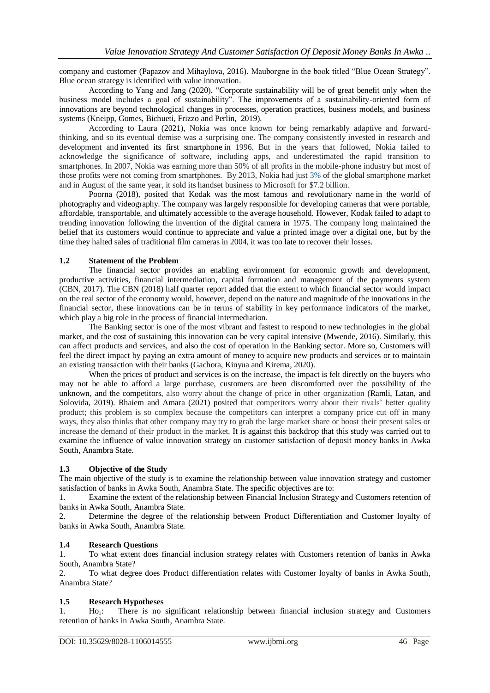company and customer (Papazov and Mihaylova, 2016). Mauborgne in the book titled "Blue Ocean Strategy". Blue ocean strategy is identified with value innovation.

According to Yang and Jang (2020), "Corporate sustainability will be of great benefit only when the business model includes a goal of sustainability". The improvements of a sustainability-oriented form of innovations are beyond technological changes in processes, operation practices, business models, and business systems (Kneipp, Gomes, Bichueti, Frizzo and Perlin, 2019).

According to Laura (2021), Nokia was once known for being remarkably adaptive and forwardthinking, and so its eventual demise was a surprising one. The company consistently invested in research and development and [invented its first](https://www.newyorker.com/business/currency/where-nokia-went-wrong) smartphone in 1996. But in the years that followed, Nokia failed to acknowledge the significance of software, including apps, and underestimated the rapid transition to smartphones. In 2007, Nokia was earning more than 50% of all profits in the mobile-phone industry but most of those profits were not coming from smartphones. By 2013, Nokia had just [3%](https://www.newyorker.com/business/currency/where-nokia-went-wrong) of the global smartphone market and in August of the same year, it sold its handset business to Microsoft for \$7.2 billion.

Poorna (2018), posited that Kodak was the [most famous and revolutionary name](https://startuptalky.com/kodak-bankruptcy-case-study/) in the world of photography and videography. The company was largely responsible for developing cameras that were portable, affordable, transportable, and ultimately accessible to the average household. However, Kodak failed to adapt to trending innovation following the invention of the digital camera in 1975. The company long maintained the belief that its customers would continue to appreciate and value a printed image over a digital one, but by the time they halted sales of traditional film cameras in 2004, it was too late to recover their losses.

### **1.2 Statement of the Problem**

The financial sector provides an enabling environment for economic growth and development, productive activities, financial intermediation, capital formation and management of the payments system (CBN, 2017). The CBN (2018) half quarter report added that the extent to which financial sector would impact on the real sector of the economy would, however, depend on the nature and magnitude of the innovations in the financial sector, these innovations can be in terms of stability in key performance indicators of the market, which play a big role in the process of financial intermediation.

The Banking sector is one of the most vibrant and fastest to respond to new technologies in the global market, and the cost of sustaining this innovation can be very capital intensive (Mwende, 2016). Similarly, this can affect products and services, and also the cost of operation in the Banking sector. More so, Customers will feel the direct impact by paying an extra amount of money to acquire new products and services or to maintain an existing transaction with their banks (Gachora, Kinyua and Kirema, 2020).

When the prices of product and services is on the increase, the impact is felt directly on the buyers who may not be able to afford a large purchase, customers are been discomforted over the possibility of the unknown, and the competitors, also worry about the change of price in other organization (Ramli, Latan, and Solovida, 2019). Rhaiem and Amara (2021) posited that competitors worry about their rivals' better quality product; this problem is so complex because the competitors can interpret a company price cut off in many ways, they also thinks that other company may try to grab the large market share or boost their present sales or increase the demand of their product in the market. It is against this backdrop that this study was carried out to examine the influence of value innovation strategy on customer satisfaction of deposit money banks in Awka South, Anambra State.

### **1.3 Objective of the Study**

The main objective of the study is to examine the relationship between value innovation strategy and customer satisfaction of banks in Awka South, Anambra State. The specific objectives are to:

1. Examine the extent of the relationship between Financial Inclusion Strategy and Customers retention of banks in Awka South, Anambra State.

2. Determine the degree of the relationship between Product Differentiation and Customer loyalty of banks in Awka South, Anambra State.

### **1.4 Research Questions**

1. To what extent does financial inclusion strategy relates with Customers retention of banks in Awka South, Anambra State?

2. To what degree does Product differentiation relates with Customer loyalty of banks in Awka South, Anambra State?

### **1.5 Research Hypotheses**

1. Ho1: There is no significant relationship between financial inclusion strategy and Customers retention of banks in Awka South, Anambra State.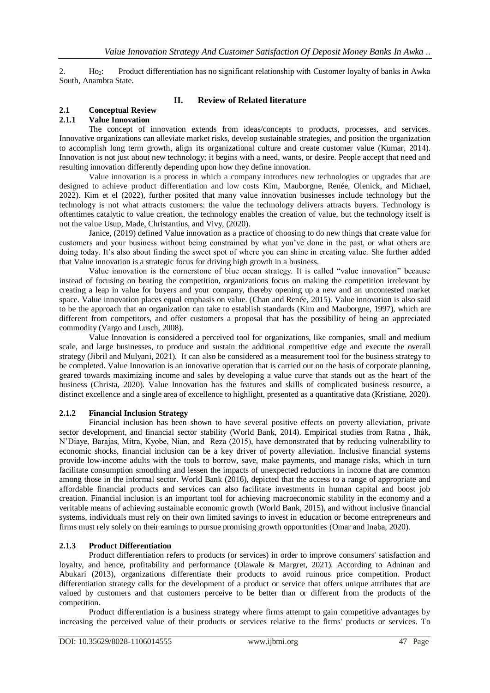2. Ho<sub>2</sub>: Product differentiation has no significant relationship with Customer loyalty of banks in Awka South, Anambra State.

### **II. Review of Related literature**

#### **2.1 Conceptual Review 2.1.1 Value Innovation**

The concept of innovation extends from ideas/concepts to products, processes, and services. Innovative organizations can alleviate market risks, develop sustainable strategies, and position the organization to accomplish long term growth, align its organizational culture and create customer value (Kumar, 2014). Innovation is not just about new technology; it begins with a need, wants, or desire. People accept that need and resulting innovation differently depending upon how they define innovation.

Value innovation is a process in which a company introduces new technologies or upgrades that are designed to achieve product differentiation and low costs Kim, Mauborgne, Renée, Olenick, and Michael, 2022). Kim et el (2022), further posited that many value innovation businesses include technology but the technology is not what attracts customers: the value the technology delivers attracts buyers. Technology is oftentimes catalytic to value creation, the technology enables the creation of value, but the technology itself is not the value Usup, Made, Christantius, and Vivy, (2020).

Janice, (2019) defined Value innovation as a practice of choosing to do new things that create value for customers and your business without being constrained by what you've done in the past, or what others are doing today. It's also about finding the sweet spot of where you can shine in creating value. She further added that Value innovation is a strategic focus for driving high growth in a business.

Value innovation is the cornerstone of blue ocean strategy. It is called "value innovation" because instead of focusing on beating the competition, organizations focus on making the competition irrelevant by creating a leap in value for buyers and your company, thereby opening up a new and an uncontested market space. Value innovation places equal emphasis on value. (Chan and Renée, 2015). Value innovation is also said to be the approach that an organization can take to establish standards (Kim and Mauborgne, 1997), which are different from competitors, and offer customers a proposal that has the possibility of being an appreciated commodity (Vargo and Lusch, 2008).

Value Innovation is considered a perceived tool for organizations, like companies, small and medium scale, and large businesses, to produce and sustain the additional competitive edge and execute the overall strategy (Jibril and Mulyani, 2021). It can also be considered as a measurement tool for the business strategy to be completed. Value Innovation is an innovative operation that is carried out on the basis of corporate planning, geared towards maximizing income and sales by developing a value curve that stands out as the heart of the business (Christa, 2020). Value Innovation has the features and skills of complicated business resource, a distinct excellence and a single area of excellence to highlight, presented as a quantitative data (Kristiane, 2020).

### **2.1.2 Financial Inclusion Strategy**

Financial inclusion has been shown to have several positive effects on poverty alleviation, private sector development, and financial sector stability (World Bank, 2014). Empirical studies from Ratna , Ihák, N'Diaye, Barajas, Mitra, Kyobe, Nian, and Reza (2015), have demonstrated that by reducing vulnerability to economic shocks, financial inclusion can be a key driver of poverty alleviation. Inclusive financial systems provide low-income adults with the tools to borrow, save, make payments, and manage risks, which in turn facilitate consumption smoothing and lessen the impacts of unexpected reductions in income that are common among those in the informal sector. World Bank (2016), depicted that the access to a range of appropriate and affordable financial products and services can also facilitate investments in human capital and boost job creation. Financial inclusion is an important tool for achieving macroeconomic stability in the economy and a veritable means of achieving sustainable economic growth (World Bank, 2015), and without inclusive financial systems, individuals must rely on their own limited savings to invest in education or become entrepreneurs and firms must rely solely on their earnings to pursue promising growth opportunities (Omar and Inaba, 2020).

### **2.1.3 Product Differentiation**

Product differentiation refers to products (or services) in order to improve consumers' satisfaction and loyalty, and hence, profitability and performance (Olawale & Margret, 2021). According to Adninan and Abukari (2013), organizations differentiate their products to avoid ruinous price competition. Product differentiation strategy calls for the development of a product or service that offers unique attributes that are valued by customers and that customers perceive to be better than or different from the products of the competition.

Product differentiation is a business strategy where firms attempt to gain competitive advantages by increasing the perceived value of their products or services relative to the firms' products or services. To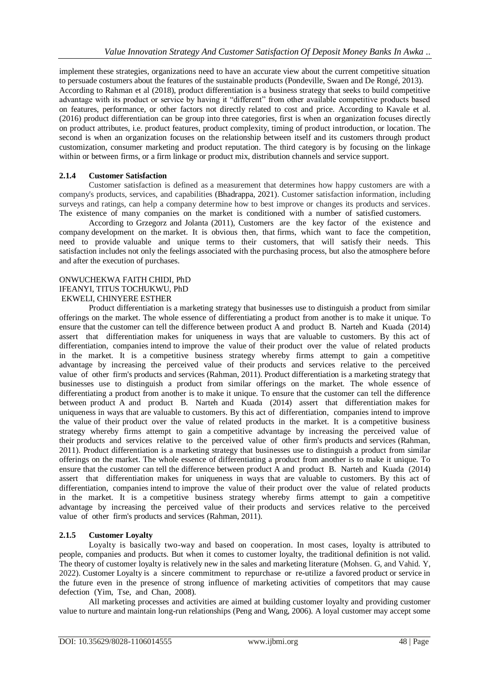implement these strategies, organizations need to have an accurate view about the current competitive situation to persuade costumers about the features of the sustainable products (Pondeville, Swaen and De Rongé, 2013). According to Rahman et al (2018), product differentiation is a business strategy that seeks to build competitive advantage with its product or service by having it "different" from other available competitive products based on features, performance, or other factors not directly related to cost and price. According to Kavale et al. (2016) product differentiation can be group into three categories, first is when an organization focuses directly on product attributes, i.e. product features, product complexity, timing of product introduction, or location. The second is when an organization focuses on the relationship between itself and its customers through product customization, consumer marketing and product reputation. The third category is by focusing on the linkage within or between firms, or a firm linkage or product mix, distribution channels and service support.

### **2.1.4 Customer Satisfaction**

Customer satisfaction is defined as a measurement that determines how happy customers are with a company's products, services, and capabilities (Bhadrappa, 2021). Customer satisfaction information, including surveys and ratings, can help a company determine how to best improve or changes its products and services. The existence of many companies on the market is conditioned with a number of satisfied customers.

According to Grzegorz and Jolanta (2011), Customers are the key factor of the existence and company development on the market. It is obvious then, that firms, which want to face the competition, need to provide valuable and unique terms to their customers, that will satisfy their needs. This satisfaction includes not only the feelings associated with the purchasing process, but also the atmosphere before and after the execution of purchases.

#### ONWUCHEKWA FAITH CHIDI, PhD IFEANYI, TITUS TOCHUKWU, PhD EKWELI, CHINYERE ESTHER

Product differentiation is a marketing strategy that businesses use to distinguish a product from similar offerings on the market. The whole essence of differentiating a product from another is to make it unique. To ensure that the customer can tell the difference between product A and product B. Narteh and Kuada (2014) assert that differentiation makes for uniqueness in ways that are valuable to customers. By this act of differentiation, companies intend to improve the value of their product over the value of related products in the market. It is a competitive business strategy whereby firms attempt to gain a competitive advantage by increasing the perceived value of their products and services relative to the perceived value of other firm's products and services (Rahman, 2011). Product differentiation is a marketing strategy that businesses use to distinguish a product from similar offerings on the market. The whole essence of differentiating a product from another is to make it unique. To ensure that the customer can tell the difference between product A and product B. Narteh and Kuada (2014) assert that differentiation makes for uniqueness in ways that are valuable to customers. By this act of differentiation, companies intend to improve the value of their product over the value of related products in the market. It is a competitive business strategy whereby firms attempt to gain a competitive advantage by increasing the perceived value of their products and services relative to the perceived value of other firm's products and services (Rahman, 2011). Product differentiation is a marketing strategy that businesses use to distinguish a product from similar offerings on the market. The whole essence of differentiating a product from another is to make it unique. To ensure that the customer can tell the difference between product A and product B. Narteh and Kuada (2014) assert that differentiation makes for uniqueness in ways that are valuable to customers. By this act of differentiation, companies intend to improve the value of their product over the value of related products in the market. It is a competitive business strategy whereby firms attempt to gain a competitive advantage by increasing the perceived value of their products and services relative to the perceived value of other firm's products and services (Rahman, 2011).

### **2.1.5 Customer Loyalty**

Loyalty is basically two-way and based on cooperation. In most cases, loyalty is attributed to people, companies and products. But when it comes to customer loyalty, the traditional definition is not valid. The theory of customer loyalty is relatively new in the sales and marketing literature (Mohsen. G, and Vahid. Y, 2022). Customer Loyalty is a sincere commitment to repurchase or re-utilize a favored product or service in the future even in the presence of strong influence of marketing activities of competitors that may cause defection (Yim, Tse, and Chan, 2008).

All marketing processes and activities are aimed at building customer loyalty and providing customer value to nurture and maintain long-run relationships (Peng and Wang, 2006). A loyal customer may accept some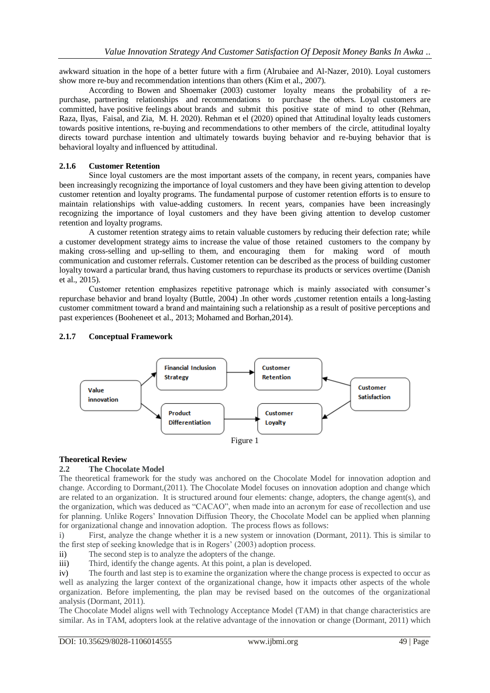awkward situation in the hope of a better future with a firm (Alrubaiee and Al-Nazer, 2010). Loyal customers show more re-buy and recommendation intentions than others (Kim et al., 2007).

According to Bowen and Shoemaker (2003) customer loyalty means the probability of a repurchase, partnering relationships and recommendations to purchase the others. Loyal customers are committed, have positive feelings about brands and submit this positive state of mind to other (Rehman, Raza, Ilyas, Faisal, and Zia, M. H. 2020). Rehman et el (2020) opined that Attitudinal loyalty leads customers towards positive intentions, re-buying and recommendations to other members of the circle, attitudinal loyalty directs toward purchase intention and ultimately towards buying behavior and re-buying behavior that is behavioral loyalty and influenced by attitudinal.

### **2.1.6 Customer Retention**

Since loyal customers are the most important assets of the company, in recent years, companies have been increasingly recognizing the importance of loyal customers and they have been giving attention to develop customer retention and loyalty programs. The fundamental purpose of customer retention efforts is to ensure to maintain relationships with value-adding customers. In recent years, companies have been increasingly recognizing the importance of loyal customers and they have been giving attention to develop customer retention and loyalty programs.

A customer retention strategy aims to retain valuable customers by reducing their defection rate; while a customer development strategy aims to increase the value of those retained customers to the company by making cross-selling and up-selling to them, and encouraging them for making word of mouth communication and customer referrals. Customer retention can be described as the process of building customer loyalty toward a particular brand, thus having customers to repurchase its products or services overtime (Danish et al., 2015).

Customer retention emphasizes repetitive patronage which is mainly associated with consumer's repurchase behavior and brand loyalty (Buttle, 2004) .In other words ,customer retention entails a long-lasting customer commitment toward a brand and maintaining such a relationship as a result of positive perceptions and past experiences (Booheneet et al., 2013; Mohamed and Borhan,2014).

#### **Financial Inclusion** Customer **Strategy Retention** Customer Value Satisfaction innovation Product Customer **Differentiation** Loyalty Figure 1

### **2.1.7 Conceptual Framework**

#### **Theoretical Review**

#### **2.2 The Chocolate Model**

The theoretical framework for the study was anchored on the Chocolate Model for innovation adoption and change. According to Dormant,(2011). The Chocolate Model focuses on innovation adoption and change which are related to an organization. It is structured around four elements: change, adopters, the change agent(s), and the organization, which was deduced as "CACAO", when made into an acronym for ease of recollection and use for planning. Unlike Rogers' Innovation Diffusion Theory, the Chocolate Model can be applied when planning for organizational change and innovation adoption. The process flows as follows:

i) First, analyze the change whether it is a new system or innovation (Dormant, 2011). This is similar to the first step of seeking knowledge that is in Rogers' (2003) adoption process.

ii) The second step is to analyze the adopters of the change.

iii) Third, identify the change agents. At this point, a plan is developed.

iv) The fourth and last step is to examine the organization where the change process is expected to occur as well as analyzing the larger context of the organizational change, how it impacts other aspects of the whole organization. Before implementing, the plan may be revised based on the outcomes of the organizational analysis (Dormant, 2011).

The Chocolate Model aligns well with Technology Acceptance Model (TAM) in that change characteristics are similar. As in TAM, adopters look at the relative advantage of the innovation or change (Dormant, 2011) which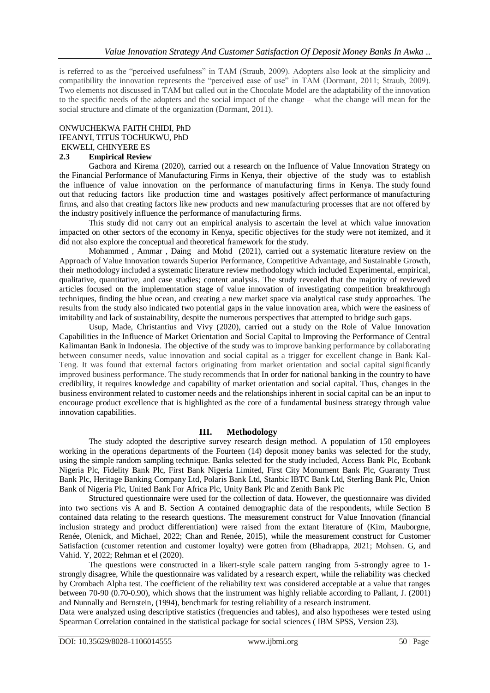is referred to as the "perceived usefulness" in TAM (Straub, 2009). Adopters also look at the simplicity and compatibility the innovation represents the "perceived ease of use" in TAM (Dormant, 2011; Straub, 2009). Two elements not discussed in TAM but called out in the Chocolate Model are the adaptability of the innovation to the specific needs of the adopters and the social impact of the change – what the change will mean for the social structure and climate of the organization (Dormant, 2011).

## ONWUCHEKWA FAITH CHIDI, PhD IFEANYI, TITUS TOCHUKWU, PhD

#### EKWELI, CHINYERE ES **2.3 Empirical Review**

Gachora and Kirema (2020), carried out a research on the Influence of Value Innovation Strategy on the Financial Performance of Manufacturing Firms in Kenya, their objective of the study was to establish the influence of value innovation on the performance of manufacturing firms in Kenya. The study found out that reducing factors like production time and wastages positively affect performance of manufacturing firms, and also that creating factors like new products and new manufacturing processes that are not offered by the industry positively influence the performance of manufacturing firms.

This study did not carry out an empirical analysis to ascertain the level at which value innovation impacted on other sectors of the economy in Kenya, specific objectives for the study were not itemized, and it did not also explore the conceptual and theoretical framework for the study.

Mo[hammed ,](https://www.researchgate.net/profile/Mohammed-Hajar-2) [Ammar ,](https://www.researchgate.net/profile/Ammar-Alkahtani) [Daing](https://www.researchgate.net/scientific-contributions/Daing-Nasir-2179889309) and [Mohd](https://www.researchgate.net/profile/Mohd-Ridzuan-Darun) (2021), carried out a systematic literature review on the Approach of Value Innovation towards Superior Performance, Competitive Advantage, and Sustainable Growth, their methodology included a systematic literature review methodology which included Experimental, empirical, qualitative, quantitative, and case studies; content analysis. The study revealed that the majority of reviewed articles focused on the implementation stage of value innovation of investigating competition breakthrough techniques, finding the blue ocean, and creating a new market space via analytical case study approaches. The results from the study also indicated two potential gaps in the value innovation area, which were the easiness of imitability and lack of sustainability, despite the numerous perspectives that attempted to bridge such gaps.

Usup, Made, Christantius and Vivy (2020), carried out a study on the Role of Value Innovation Capabilities in the Influence of Market Orientation and Social Capital to Improving the Performance of Central Kalimantan Bank in Indonesia. The objective of the study was to improve banking performance by collaborating between consumer needs, value innovation and social capital as a trigger for excellent change in Bank Kal-Teng. It was found that external factors originating from market orientation and social capital significantly improved business performance. The study recommends that In order for national banking in the country to have credibility, it requires knowledge and capability of market orientation and social capital. Thus, changes in the business environment related to customer needs and the relationships inherent in social capital can be an input to encourage product excellence that is highlighted as the core of a fundamental business strategy through value innovation capabilities.

#### **III. Methodology**

The study adopted the descriptive survey research design method. A population of 150 employees working in the operations departments of the Fourteen (14) deposit money banks was selected for the study, using the simple random sampling technique. Banks selected for the study included, Access Bank Plc, Ecobank Nigeria Plc, Fidelity Bank Plc, First Bank Nigeria Limited, First City Monument Bank Plc, Guaranty Trust Bank Plc, Heritage Banking Company Ltd, Polaris Bank Ltd, Stanbic IBTC Bank Ltd, Sterling Bank Plc, Union Bank of Nigeria Plc, United Bank For Africa Plc, Unity Bank Plc and Zenith Bank Plc

Structured questionnaire were used for the collection of data. However, the questionnaire was divided into two sections vis A and B. Section A contained demographic data of the respondents, while Section B contained data relating to the research questions. The measurement construct for Value Innovation (financial inclusion strategy and product differentiation) were raised from the extant literature of (Kim, Mauborgne, Renée, Olenick, and Michael, 2022; Chan and Renée, 2015), while the measurement construct for Customer Satisfaction (customer retention and customer loyalty) were gotten from (Bhadrappa, 2021; Mohsen. G, and Vahid. Y, 2022; Rehman et el (2020).

The questions were constructed in a likert-style scale pattern ranging from 5-strongly agree to 1 strongly disagree, While the questionnaire was validated by a research expert, while the reliability was checked by Crombach Alpha test. The coefficient of the reliability text was considered acceptable at a value that ranges between 70-90 (0.70-0.90), which shows that the instrument was highly reliable according to Pallant, J. (2001) and Nunnally and Bernstein, (1994), benchmark for testing reliability of a research instrument.

Data were analyzed using descriptive statistics (frequencies and tables), and also hypotheses were tested using Spearman Correlation contained in the statistical package for social sciences ( IBM SPSS, Version 23).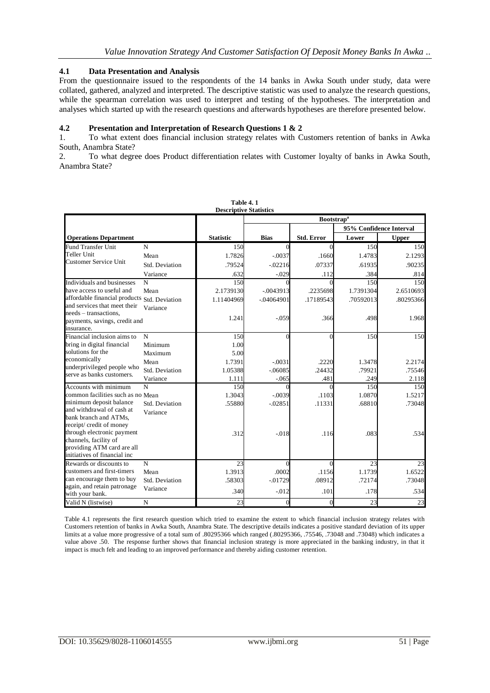#### **4.1 Data Presentation and Analysis**

From the questionnaire issued to the respondents of the 14 banks in Awka South under study, data were collated, gathered, analyzed and interpreted. The descriptive statistic was used to analyze the research questions, while the spearman correlation was used to interpret and testing of the hypotheses. The interpretation and analyses which started up with the research questions and afterwards hypotheses are therefore presented below.

#### **4.2 Presentation and Interpretation of Research Questions 1 & 2**

1. To what extent does financial inclusion strategy relates with Customers retention of banks in Awka South, Anambra State?

2. To what degree does Product differentiation relates with Customer loyalty of banks in Awka South, Anambra State?

| <b>Descriptive Statistics</b>                                                                                                        |                |                  |                              |                   |                         |              |  |  |
|--------------------------------------------------------------------------------------------------------------------------------------|----------------|------------------|------------------------------|-------------------|-------------------------|--------------|--|--|
|                                                                                                                                      |                |                  | <b>Bootstrap<sup>a</sup></b> |                   |                         |              |  |  |
|                                                                                                                                      |                |                  |                              |                   | 95% Confidence Interval |              |  |  |
| <b>Operations Department</b>                                                                                                         |                | <b>Statistic</b> | <b>Bias</b>                  | <b>Std. Error</b> | Lower                   | <b>Upper</b> |  |  |
| <b>Fund Transfer Unit</b>                                                                                                            | N              | 150              | $\Omega$                     | $\Omega$          | 150                     | 150          |  |  |
| Teller Unit<br><b>Customer Service Unit</b>                                                                                          | Mean           | 1.7826           | $-.0037$                     | .1660             | 1.4783                  | 2.1293       |  |  |
|                                                                                                                                      | Std. Deviation | .79524           | $-02216$                     | .07337            | .61935                  | .90235       |  |  |
|                                                                                                                                      | Variance       | .632             | $-.029$                      | .112              | .384                    | .814         |  |  |
| Individuals and businesses                                                                                                           | N              | 150              |                              |                   | 150                     | 150          |  |  |
| have access to useful and                                                                                                            | Mean           | 2.1739130        | $-.0043913$                  | .2235698          | 1.7391304               | 2.6510693    |  |  |
| affordable financial products Std. Deviation                                                                                         |                | 1.11404969       | $-.04064901$                 | .17189543         | .70592013               | .80295366    |  |  |
| and services that meet their                                                                                                         | Variance       |                  |                              |                   |                         |              |  |  |
| needs – transactions.<br>payments, savings, credit and                                                                               |                | 1.241            | $-0.059$                     | .366              | .498                    | 1.968        |  |  |
| insurance.                                                                                                                           |                |                  |                              |                   |                         |              |  |  |
| Financial inclusion aims to                                                                                                          | N              | 150              | ∩                            |                   | 150                     | 150          |  |  |
| bring in digital financial                                                                                                           | Minimum        | 1.00             |                              |                   |                         |              |  |  |
| solutions for the                                                                                                                    | Maximum        | 5.00             |                              |                   |                         |              |  |  |
| economically                                                                                                                         | Mean           | 1.7391           | $-.0031$                     | .2220             | 1.3478                  | 2.2174       |  |  |
| underprivileged people who                                                                                                           | Std. Deviation | 1.05388          | $-06085$                     | .24432            | .79921                  | .75546       |  |  |
| serve as banks customers.                                                                                                            | Variance       | 1.111            | $-0.065$                     | .481              | .249                    | 2.118        |  |  |
| Accounts with minimum                                                                                                                | $\mathbf N$    | 150              |                              | 0                 | 150                     | 150          |  |  |
| common facilities such as no Mean                                                                                                    |                | 1.3043           | $-.0039$                     | .1103             | 1.0870                  | 1.5217       |  |  |
| minimum deposit balance                                                                                                              | Std. Deviation | .55880           | $-0.02851$                   | .11331            | .68810                  | .73048       |  |  |
| and withdrawal of cash at<br>bank branch and ATMs.                                                                                   | Variance       |                  |                              |                   |                         |              |  |  |
| receipt/ credit of money                                                                                                             |                |                  |                              |                   |                         |              |  |  |
| through electronic payment                                                                                                           |                | .312             | $-.018$                      | .116              | .083                    | .534         |  |  |
| channels, facility of                                                                                                                |                |                  |                              |                   |                         |              |  |  |
| providing ATM card are all                                                                                                           |                |                  |                              |                   |                         |              |  |  |
| initiatives of financial inc                                                                                                         |                |                  |                              |                   |                         |              |  |  |
| Rewards or discounts to<br>customers and first-timers<br>can encourage them to buy<br>again, and retain patronage<br>with your bank. | $\mathbf N$    | 23               | $\Omega$                     | $\Omega$          | 23                      | 23           |  |  |
|                                                                                                                                      | Mean           | 1.3913           | .0002                        | .1156             | 1.1739                  | 1.6522       |  |  |
|                                                                                                                                      | Std. Deviation | .58303           | $-0.01729$                   | .08912            | .72174                  | .73048       |  |  |
|                                                                                                                                      | Variance       | .340             | $-0.012$                     | .101              | .178                    | .534         |  |  |
| Valid N (listwise)                                                                                                                   | N              | 23               | $\Omega$                     | $\Omega$          | 23                      | 23           |  |  |

**Table 4. 1**

Table 4.1 represents the first research question which tried to examine the extent to which financial inclusion strategy relates with Customers retention of banks in Awka South, Anambra State. The descriptive details indicates a positive standard deviation of its upper limits at a value more progressive of a total sum of .80295366 which ranged (.80295366, .75546, .73048 and .73048) which indicates a value above .50. The response further shows that financial inclusion strategy is more appreciated in the banking industry, in that it impact is much felt and leading to an improved performance and thereby aiding customer retention.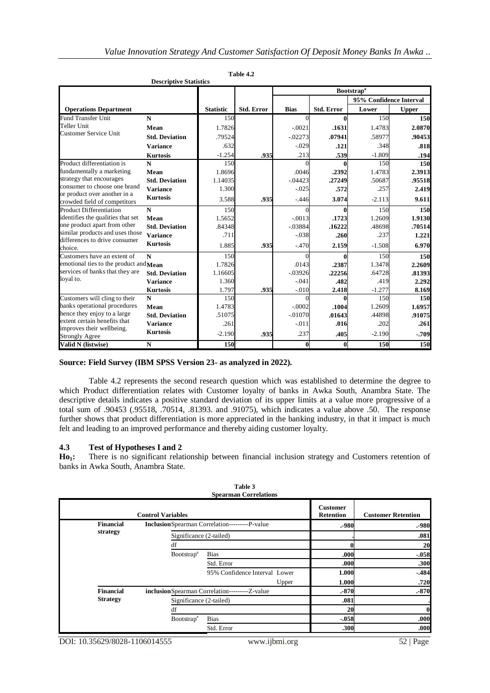|                                                                                                                                                                                    | <b>Descriptive Statistics</b> |                  |                   |             |                              |                         |              |  |
|------------------------------------------------------------------------------------------------------------------------------------------------------------------------------------|-------------------------------|------------------|-------------------|-------------|------------------------------|-------------------------|--------------|--|
|                                                                                                                                                                                    |                               |                  |                   |             | <b>Bootstrap<sup>a</sup></b> |                         |              |  |
|                                                                                                                                                                                    |                               |                  |                   |             |                              | 95% Confidence Interval |              |  |
| <b>Operations Department</b>                                                                                                                                                       |                               | <b>Statistic</b> | <b>Std. Error</b> | <b>Bias</b> | Std. Error                   | Lower                   | <b>Upper</b> |  |
| <b>Fund Transfer Unit</b>                                                                                                                                                          | $\mathbf N$                   | 150              |                   | $\Omega$    | $\bf{0}$                     | 150                     | 150          |  |
| Teller Unit                                                                                                                                                                        | Mean                          | 1.7826           |                   | $-.0021$    | .1631                        | 1.4783                  | 2.0870       |  |
| <b>Customer Service Unit</b>                                                                                                                                                       | <b>Std. Deviation</b>         | .79524           |                   | $-0.02273$  | .07941                       | .58977                  | .90453       |  |
|                                                                                                                                                                                    | <b>Variance</b>               | .632             |                   | $-.029$     | .121                         | .348                    | .818         |  |
|                                                                                                                                                                                    | <b>Kurtosis</b>               | $-1.254$         | .935              | .213        | .539                         | $-1.809$                | .194         |  |
| Product differentiation is                                                                                                                                                         | N                             | 150              |                   |             |                              | 150                     | 150          |  |
| fundamentally a marketing                                                                                                                                                          | Mean                          | 1.8696           |                   | .0046       | .2392                        | 1.4783                  | 2.3913       |  |
| strategy that encourages                                                                                                                                                           | <b>Std. Deviation</b>         | 1.14035          |                   | $-0.04423$  | .27249                       | .50687                  | .95518       |  |
| consumer to choose one brand                                                                                                                                                       | <b>Variance</b>               | 1.300            |                   | $-0.025$    | .572                         | .257                    | 2.419        |  |
| or product over another in a<br>crowded field of competitors                                                                                                                       | <b>Kurtosis</b>               | 3.588            | .935              | $-446$      | 3.074                        | $-2.113$                | 9.611        |  |
| <b>Product Differentiation</b>                                                                                                                                                     | $\mathbf N$                   | 150              |                   |             | 0                            | 150                     | 150          |  |
| identifies the qualities that set                                                                                                                                                  | Mean                          | 1.5652           |                   | $-0.0013$   | .1723                        | 1.2609                  | 1.9130       |  |
| one product apart from other                                                                                                                                                       | <b>Std. Deviation</b>         | .84348           |                   | $-0.03884$  | .16222                       | .48698                  | .70514       |  |
| similar products and uses those                                                                                                                                                    | <b>Variance</b>               | .711             |                   | $-.038$     | .260                         | .237                    | 1.221        |  |
| differences to drive consumer<br>choice.                                                                                                                                           | <b>Kurtosis</b>               | 1.885            | .935              | $-.470$     | 2.159                        | $-1.508$                | 6.970        |  |
| Customers have an extent of                                                                                                                                                        | N                             | 150              |                   |             |                              | 150                     | 150          |  |
| emotional ties to the product and $Mean$                                                                                                                                           |                               | 1.7826           |                   | .0143       | .2387                        | 1.3478                  | 2.2609       |  |
| services of banks that they are<br>loyal to.                                                                                                                                       | <b>Std. Deviation</b>         | 1.16605          |                   | $-0.03926$  | .22256                       | .64728                  | .81393       |  |
|                                                                                                                                                                                    | <b>Variance</b>               | 1.360            |                   | $-.041$     | .482                         | .419                    | 2.292        |  |
|                                                                                                                                                                                    | <b>Kurtosis</b>               | 1.797            | .935              | $-0.010$    | 2.418                        | $-1.277$                | 8.169        |  |
| Customers will cling to their<br>banks operational procedures<br>hence they enjoy to a large<br>extent certain benefits that<br>improves their wellbeing.<br><b>Strongly Agree</b> | $\mathbf N$                   | 150              |                   |             | 0                            | 150                     | 150          |  |
|                                                                                                                                                                                    | Mean                          | 1.4783           |                   | $-.0002$    | .1004                        | 1.2609                  | 1.6957       |  |
|                                                                                                                                                                                    | <b>Std. Deviation</b>         | .51075           |                   | $-0.01070$  | .01643                       | .44898                  | .91075       |  |
|                                                                                                                                                                                    | <b>Variance</b>               | .261             |                   | $-.011$     | .016                         | .202                    | .261         |  |
|                                                                                                                                                                                    | <b>Kurtosis</b>               | $-2.190$         | .935              | .237        | .405                         | $-2.190$                | $-.709$      |  |
| Valid N (listwise)                                                                                                                                                                 | N                             | 150              |                   | $\theta$    | $\bf{0}$                     | 150                     | 150          |  |

 **Table 4.2**

#### **Source: Field Survey (IBM SPSS Version 23- as analyzed in 2022).**

Table 4.2 represents the second research question which was established to determine the degree to which Product differentiation relates with Customer loyalty of banks in Awka South, Anambra State. The descriptive details indicates a positive standard deviation of its upper limits at a value more progressive of a total sum of .90453 (.95518, .70514, .81393. and .91075), which indicates a value above .50. The response further shows that product differentiation is more appreciated in the banking industry, in that it impact is much felt and leading to an improved performance and thereby aiding customer loyalty.

#### **4.3 Test of Hypotheses I and 2**

**Ho1:** There is no significant relationship between financial inclusion strategy and Customers retention of banks in Awka South, Anambra State.

|                  |                               | <b>Spearman Correlations</b>                   |                                     |                           |
|------------------|-------------------------------|------------------------------------------------|-------------------------------------|---------------------------|
|                  | <b>Control Variables</b>      |                                                | <b>Customer</b><br><b>Retention</b> | <b>Customer Retention</b> |
| <b>Financial</b> |                               | InclusionSpearman Correlation---------P-value  |                                     | .-980                     |
| strategy         | Significance (2-tailed)       |                                                |                                     | .081                      |
|                  | df                            |                                                |                                     | 20                        |
|                  | <b>Bootstrap</b> <sup>a</sup> | <b>Bias</b>                                    | .000                                | $-0.058$                  |
|                  |                               | Std. Error                                     | .000                                | .300                      |
|                  |                               | 95% Confidence Interval Lower                  | 1.000                               | $-484$                    |
|                  |                               | Upper                                          | 1.000                               | .720                      |
| <b>Financial</b> |                               | inclusionSpearman Correlation----------Z-value | .870                                | .870                      |
| <b>Strategy</b>  | Significance (2-tailed)       |                                                | .081                                |                           |
|                  | df                            |                                                | 20                                  | $\bf{0}$                  |
|                  | <b>Bootstrap</b> <sup>a</sup> | <b>Bias</b>                                    | $-.058$                             | .000                      |
|                  |                               | Std. Error                                     | .300                                | .000                      |

**Table 3**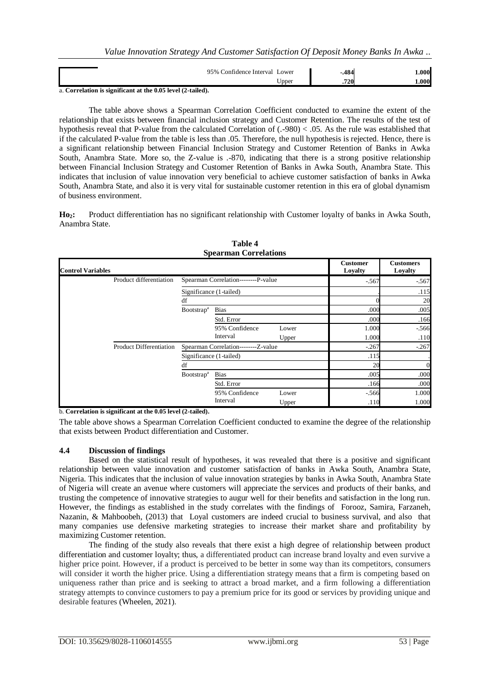| 95%<br>∟ower<br>∟onfidence Interval | 40<br>. 104 | .000 |
|-------------------------------------|-------------|------|
| T T<br>Jpper<br>$\sim$<br>.<br>--   | .720        | .000 |

a. **Correlation is significant at the 0.05 level (2-tailed).**

The table above shows a Spearman Correlation Coefficient conducted to examine the extent of the relationship that exists between financial inclusion strategy and Customer Retention. The results of the test of hypothesis reveal that P-value from the calculated Correlation of (.-980) < .05. As the rule was established that if the calculated P-value from the table is less than .05. Therefore, the null hypothesis is rejected. Hence, there is a significant relationship between Financial Inclusion Strategy and Customer Retention of Banks in Awka South, Anambra State. More so, the Z-value is .-870, indicating that there is a strong positive relationship between Financial Inclusion Strategy and Customer Retention of Banks in Awka South, Anambra State. This indicates that inclusion of value innovation very beneficial to achieve customer satisfaction of banks in Awka South, Anambra State, and also it is very vital for sustainable customer retention in this era of global dynamism of business environment.

**Ho2:** Product differentiation has no significant relationship with Customer loyalty of banks in Awka South, Anambra State.

| <b>Spearman Correlations</b> |                         |                                     |                                     |       |                            |                             |  |
|------------------------------|-------------------------|-------------------------------------|-------------------------------------|-------|----------------------------|-----------------------------|--|
| <b>Control Variables</b>     |                         |                                     |                                     |       | <b>Customer</b><br>Loyalty | <b>Customers</b><br>Loyalty |  |
|                              | Product differentiation | Spearman Correlation--------P-value |                                     |       | $-567$                     | $-.567$                     |  |
|                              |                         | Significance (1-tailed)             |                                     |       |                            | .115                        |  |
|                              |                         | df                                  |                                     |       |                            | 20                          |  |
|                              |                         | Bootstrap <sup>a</sup>              | <b>Bias</b>                         |       | .000                       | .005                        |  |
|                              |                         |                                     | Std. Error                          |       | .000                       | .166                        |  |
|                              |                         |                                     | 95% Confidence                      | Lower | 1.000                      | $-566$                      |  |
|                              |                         |                                     | Interval                            | Upper | 1.000                      | .110                        |  |
|                              | Product Differentiation |                                     | Spearman Correlation--------Z-value |       | $-267$                     | $-.267$                     |  |
|                              |                         | Significance (1-tailed)             |                                     |       | .115                       |                             |  |
|                              |                         | df                                  |                                     |       | 20                         | 0                           |  |
|                              |                         | <b>Bootstrap</b> <sup>a</sup>       | <b>Bias</b>                         |       | .005                       | .000                        |  |
|                              |                         |                                     | Std. Error                          |       | .166                       | .000                        |  |
|                              |                         |                                     | 95% Confidence                      | Lower | $-.566$                    | 1.000                       |  |
|                              |                         |                                     | Interval                            | Upper | .110                       | 1.000                       |  |

**Table 4**

b. **Correlation is significant at the 0.05 level (2-tailed).**

The table above shows a Spearman Correlation Coefficient conducted to examine the degree of the relationship that exists between Product differentiation and Customer.

## **4.4 Discussion of findings**

Based on the statistical result of hypotheses, it was revealed that there is a positive and significant relationship between value innovation and customer satisfaction of banks in Awka South, Anambra State, Nigeria. This indicates that the inclusion of value innovation strategies by banks in Awka South, Anambra State of Nigeria will create an avenue where customers will appreciate the services and products of their banks, and trusting the competence of innovative strategies to augur well for their benefits and satisfaction in the long run. However, the findings as established in the study correlates with the findings of Forooz, Samira, Farzaneh, Nazanin, & Mahboobeh, (2013) that Loyal customers are indeed crucial to business survival, and also that many companies use defensive marketing strategies to increase their market share and profitability by maximizing Customer retention.

The finding of the study also reveals that there exist a high degree of relationship between product differentiation and customer loyalty; thus, a differentiated product can increase brand loyalty and even survive a higher price point. However, if a product is perceived to be better in some way than its competitors, consumers will consider it worth the higher price. Using a differentiation strategy means that a firm is competing based on uniqueness rather than price and is seeking to attract a broad market, and a firm following a differentiation strategy attempts to convince customers to pay a premium price for its good or services by providing unique and desirable features (Wheelen, 2021).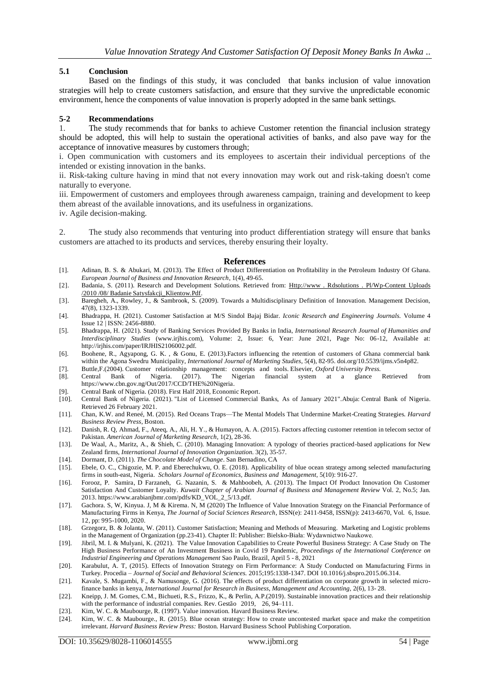#### **5.1 Conclusion**

Based on the findings of this study, it was concluded that banks inclusion of value innovation strategies will help to create customers satisfaction, and ensure that they survive the unpredictable economic environment, hence the components of value innovation is properly adopted in the same bank settings.

#### **5-2 Recommendations**

1. The study recommends that for banks to achieve Customer retention the financial inclusion strategy should be adopted, this will help to sustain the operational activities of banks, and also pave way for the acceptance of innovative measures by customers through;

i. Open communication with customers and its employees to ascertain their individual perceptions of the intended or existing innovation in the banks.

ii. Risk-taking culture having in mind that not every innovation may work out and risk-taking doesn't come naturally to everyone.

iii. Empowerment of customers and employees through awareness campaign, training and development to keep them abreast of the available innovations, and its usefulness in organizations.

iv. Agile decision-making.

2. The study also recommends that venturing into product differentiation strategy will ensure that banks customers are attached to its products and services, thereby ensuring their loyalty.

#### **References**

- [1]. Adinan, B. S. & Abukari, M. (2013). The Effect of Product Differentiation on Profitability in the Petroleum Industry Of Ghana. *European Journal of Business and Innovation Research*, 1(4), 49-65.
- [2]. Badania, S. (2011). Research and Development Solutions. Retrieved from: Http://www. Rdsolutions . Pl/Wp-Content Uploads /2010 /08/ Badanie Satysfakcji\_Klientow.Pdf.
- [3]. Baregheh, A., Rowley, J., & Sambrook, S. (2009). Towards a Multidisciplinary Definition of Innovation. Management Decision, 47(8), 1323-1339.
- [4]. Bhadrappa, H. (2021). Customer Satisfaction at M/S Sindol Bajaj Bidar. *Iconic Research and Engineering Journals.* Volume 4 Issue 12 | ISSN: 2456-8880.
- [5]. Bhadrappa, H. (2021). Study of Banking Services Provided By Banks in India, *International Research Journal of Humanities and Interdisciplinary Studies* (www.irjhis.com), Volume: 2, Issue: 6, Year: June 2021, Page No: 06-12, Available at: http://irjhis.com/paper/IRJHIS2106002.pdf.
- [6]. Boohene, R., Agyapong, G. K. , & Gonu, E. (2013).Factors influencing the retention of customers of Ghana commercial bank within the Agona Swedru Municipality, *International Journal of Marketing Studies*, 5(4), 82-95. doi.org/10.5539/ijms.v5n4p82.
- [7]. Buttle,F.(2004). Customer relationship management: concepts and tools. Elsevier, *Oxford University Press.*
- [8]. Central Bank of Nigeria. (2017). The Nigerian financial system at a glance Retrieved from https://www.cbn.gov.ng/Out/2017/CCD/THE%20Nigeria.
- 
- [9]. Central Bank of Nigeria. (2018). First Half 2018, Economic Report.<br>[10]. Central Bank of Nigeria. (2021). "List of Licensed Commercial [10]. Central Bank of Nigeria. (2021). ["List of Licensed Commercial Banks, As of January 2021".](https://www.cbn.gov.ng/Supervision/Inst-DM.asp)Abuja: [Central Bank of Nigeria.](https://en.wikipedia.org/wiki/Central_Bank_of_Nigeria)  Retrieved 26 February 2021.
- [11]. Chan, K.W. and Reneé, M. (2015). Red Oceans Traps—The Mental Models That Undermine Market-Creating Strategies. *Harvard Business Review Press*, Boston.
- [12]. Danish, R. Q, Ahmad, F., Ateeq, A., Ali, H. Y., & Humayon, A. A. (2015). Factors affecting customer retention in telecom sector of Pakistan. *American Journal of Marketing Research*, 1(2), 28-36.
- [13]. De Waal, A., Maritz, A., & Shieh, C. (2010). Managing Innovation: A typology of theories practiced-based applications for New Zealand firms, *International Journal of Innovation Organization.* 3(2), 35-57.
- [14]. Dormant, D. (2011). *The Chocolate Model of Change*. San Bernadino, CA
- [15]. Ebele, O. C., Chigozie, M. P. and Eberechukwu, O. E. (2018). Applicability of blue ocean strategy among selected manufacturing firms in south-east, Nigeria. *Scholars Journal of Economics, Business and Management,* 5(10): 916-27.
- [16]. Forooz, P. Samira, D Farzaneh, G. Nazanin, S. & Mahboobeh, A. (2013). The Impact Of Product Innovation On Customer Satisfaction And Customer Loyalty. *Kuwait Chapter of Arabian Journal of Business and Management Review* Vol. 2, No.5; Jan. 2013. https://www.arabianjbmr.com/pdfs/KD\_VOL\_2\_5/13.pdf.
- [17]. Gachora. S, W, Kinyua. J, M & Kirema. N, M (2020) The Influence of Value Innovation Strategy on the Financial Performance of Manufacturing Firms in Kenya, *The Journal of Social Sciences Research*, ISSN(e): 2411-9458, ISSN(p): 2413-6670, Vol. 6, Issue. 12, pp: 995-1000, 2020.
- [18]. Grzegorz, B. & Jolanta, W. (2011). Customer Satisfaction; Meaning and Methods of Measuring. Marketing and Logistic problems in the Management of Organization (pp.23-41). Chapter II: Publisher: Bielsko-Biała: Wydawnictwo Naukowe.
- [19]. Jibril, M. I. & Mulyani, K. (2021). The Value Innovation Capabilities to Create Powerful Business Strategy: A Case Study on The High Business Performance of An Investment Business in Covid 19 Pandemic, *Proceedings of the International Conference on Industrial Engineering and Operations Management* Sao Paulo, Brazil, April 5 - 8, 2021
- [20]. Karabulut, A. T, (2015). Effects of Innovation Strategy on Firm Performance: A Study Conducted on Manufacturing Firms in Turkey. Procedia – *Journal of Social and Behavioral Sciences.* 2015;195:1338-1347. DOI 10.1016/j.sbspro.2015.06.314.
- [21]. Kavale, S. Mugambi, F., & Namusonge, G. (2016). The effects of product differentiation on corporate growth in selected microfinance banks in kenya, *International Journal for Research in Business, Management and Accounting,* 2(6), 13- 28.
- [22]. Kneipp, J. M. Gomes, C.M., Bichueti, R.S., Frizzo, K., & Perlin, A.P.(2019). Sustainable innovation practices and their relationship with the performance of industrial companies. Rev. Gestão 2019, 26, 94–111.
- [23]. Kim, W. C. & Maubourge, R. (1997). Value innovation. Havard Business Review.
- [24]. Kim, W. C. & Maubourge., R. (2015). Blue ocean strategy: How to create uncontested market space and make the competition irrelevant. *Harvard Business Review Press:* Boston. Harvard Business School Publishing Corporation.